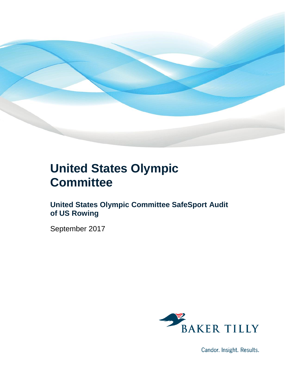

### **United States Olympic Committee**

### **United States Olympic Committee SafeSport Audit of US Rowing**

September 2017



Candor. Insight. Results.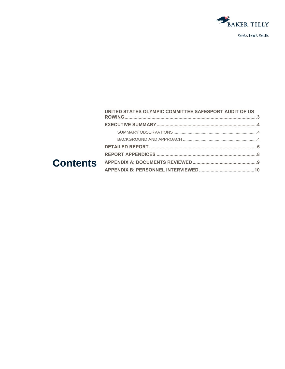

|  | UNITED STATES OLYMPIC COMMITTEE SAFESPORT AUDIT OF US |  |
|--|-------------------------------------------------------|--|
|  |                                                       |  |
|  |                                                       |  |
|  |                                                       |  |
|  |                                                       |  |
|  |                                                       |  |
|  |                                                       |  |
|  |                                                       |  |
|  |                                                       |  |

### Con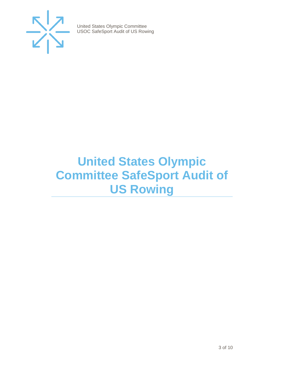

### <span id="page-2-0"></span>**United States Olympic Committee SafeSport Audit of US Rowing**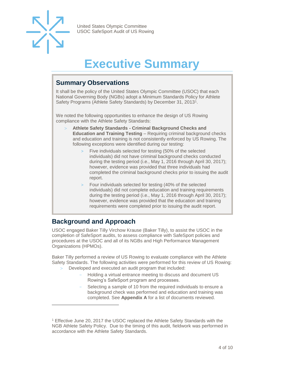

### **Executive Summary**

#### <span id="page-3-1"></span><span id="page-3-0"></span>**Summary Observations**

It shall be the policy of the United States Olympic Committee (USOC) that each National Governing Body (NGBs) adopt a Minimum Standards Policy for Athlete Safety Programs (Athlete Safety Standards) by December 31, 2013<sup>1</sup>.

We noted the following opportunities to enhance the design of US Rowing compliance with the Athlete Safety Standards:

- **Athlete Safety Standards - Criminal Background Checks and Education and Training Testing** – Requiring criminal background checks and education and training is not consistently enforced by US Rowing. The following exceptions were identified during our testing:
	- Five individuals selected for testing (50% of the selected individuals) did not have criminal background checks conducted during the testing period (i.e., May 1, 2016 through April 30, 2017); however, evidence was provided that three individuals had completed the criminal background checks prior to issuing the audit report.
	- Four individuals selected for testing (40% of the selected individuals) did not complete education and training requirements during the testing period (i.e., May 1, 2016 through April 30, 2017); however, evidence was provided that the education and training requirements were completed prior to issuing the audit report.

#### <span id="page-3-2"></span>**Background and Approach**

l

<span id="page-3-3"></span>USOC engaged Baker Tilly Virchow Krause (Baker Tilly), to assist the USOC in the completion of SafeSport audits, to assess compliance with SafeSport policies and procedures at the USOC and all of its NGBs and High Performance Management Organizations (HPMOs).

Baker Tilly performed a review of US Rowing to evaluate compliance with the Athlete Safety Standards. The following activities were performed for this review of US Rowing:

- Developed and executed an audit program that included:
	- Holding a virtual entrance meeting to discuss and document US Rowing's SafeSport program and processes.
	- Selecting a sample of 10 from the required individuals to ensure a background check was performed and education and training was completed. See **Appendix A** for a list of documents reviewed.

<sup>&</sup>lt;sup>1</sup> Effective June 20, 2017 the USOC replaced the Athlete Safety Standards with the NGB Athlete Safety Policy. Due to the timing of this audit, fieldwork was performed in accordance with the Athlete Safety Standards.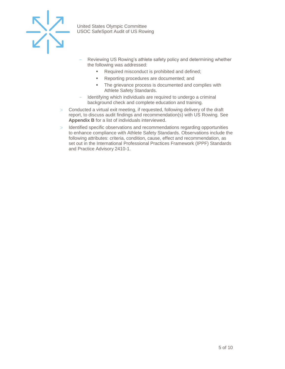

- Reviewing US Rowing's athlete safety policy and determining whether the following was addressed:
	- Required misconduct is prohibited and defined;
	- Reporting procedures are documented; and
	- The grievance process is documented and complies with Athlete Safety Standards.
- Identifying which individuals are required to undergo a criminal background check and complete education and training.
- Conducted a virtual exit meeting, if requested, following delivery of the draft report, to discuss audit findings and recommendation(s) with US Rowing. See **Appendix B** for a list of individuals interviewed.
- > Identified specific observations and recommendations regarding opportunities to enhance compliance with Athlete Safety Standards. Observations include the following attributes: criteria, condition, cause, effect and recommendation, as set out in the International Professional Practices Framework (IPPF) Standards and Practice Advisory 2410-1.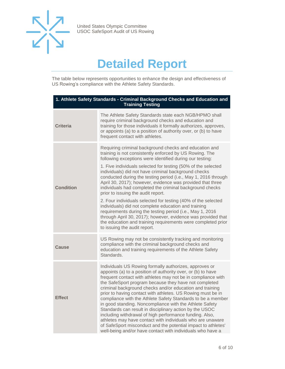

### **Detailed Report**

The table below represents opportunities to enhance the design and effectiveness of US Rowing's compliance with the Athlete Safety Standards.

| 1. Athlete Safety Standards - Criminal Background Checks and Education and<br><b>Training Testing</b> |                                                                                                                                                                                                                                                                                                                                                                                                                                                                                                                                                                                                                                                                                                                                                                                                                                                                                                |  |
|-------------------------------------------------------------------------------------------------------|------------------------------------------------------------------------------------------------------------------------------------------------------------------------------------------------------------------------------------------------------------------------------------------------------------------------------------------------------------------------------------------------------------------------------------------------------------------------------------------------------------------------------------------------------------------------------------------------------------------------------------------------------------------------------------------------------------------------------------------------------------------------------------------------------------------------------------------------------------------------------------------------|--|
| <b>Criteria</b>                                                                                       | The Athlete Safety Standards state each NGB/HPMO shall<br>require criminal background checks and education and<br>training for those individuals it formally authorizes, approves,<br>or appoints (a) to a position of authority over, or (b) to have<br>frequent contact with athletes.                                                                                                                                                                                                                                                                                                                                                                                                                                                                                                                                                                                                       |  |
| <b>Condition</b>                                                                                      | Requiring criminal background checks and education and<br>training is not consistently enforced by US Rowing. The<br>following exceptions were identified during our testing:<br>1. Five individuals selected for testing (50% of the selected<br>individuals) did not have criminal background checks<br>conducted during the testing period (i.e., May 1, 2016 through<br>April 30, 2017); however, evidence was provided that three<br>individuals had completed the criminal background checks<br>prior to issuing the audit report.<br>2. Four individuals selected for testing (40% of the selected<br>individuals) did not complete education and training<br>requirements during the testing period (i.e., May 1, 2016<br>through April 30, 2017); however, evidence was provided that<br>the education and training requirements were completed prior<br>to issuing the audit report. |  |
| Cause                                                                                                 | US Rowing may not be consistently tracking and monitoring<br>compliance with the criminal background checks and<br>education and training requirements of the Athlete Safety<br>Standards.                                                                                                                                                                                                                                                                                                                                                                                                                                                                                                                                                                                                                                                                                                     |  |
| <b>Effect</b>                                                                                         | Individuals US Rowing formally authorizes, approves or<br>appoints (a) to a position of authority over, or (b) to have<br>frequent contact with athletes may not be in compliance with<br>the SafeSport program because they have not completed<br>criminal background checks and/or education and training<br>prior to having contact with athletes. US Rowing must be in<br>compliance with the Athlete Safety Standards to be a member<br>in good standing. Noncompliance with the Athlete Safety<br>Standards can result in disciplinary action by the USOC<br>including withdrawal of high performance funding. Also,<br>athletes may have contact with individuals who are unaware<br>of SafeSport misconduct and the potential impact to athletes'<br>well-being and/or have contact with individuals who have a                                                                        |  |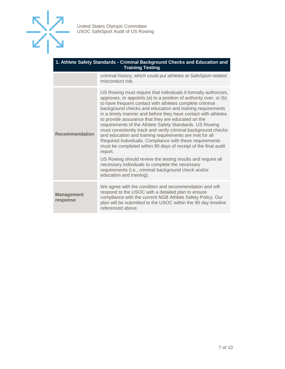

| 1. Athlete Safety Standards - Criminal Background Checks and Education and<br><b>Training Testing</b> |                                                                                                                                                                                                                                                                                                                                                                                                                                                                                                                                                                                                                                                                                                                      |  |  |
|-------------------------------------------------------------------------------------------------------|----------------------------------------------------------------------------------------------------------------------------------------------------------------------------------------------------------------------------------------------------------------------------------------------------------------------------------------------------------------------------------------------------------------------------------------------------------------------------------------------------------------------------------------------------------------------------------------------------------------------------------------------------------------------------------------------------------------------|--|--|
|                                                                                                       | criminal history, which could put athletes at SafeSport-related<br>misconduct risk.                                                                                                                                                                                                                                                                                                                                                                                                                                                                                                                                                                                                                                  |  |  |
| <b>Recommendation</b>                                                                                 | US Rowing must require that individuals it formally authorizes,<br>approves, or appoints (a) to a position of authority over, or (b)<br>to have frequent contact with athletes complete criminal<br>background checks and education and training requirements<br>in a timely manner and before they have contact with athletes<br>to provide assurance that they are educated on the<br>requirements of the Athlete Safety Standards. US Rowing<br>must consistently track and verify criminal background checks<br>and education and training requirements are met for all<br>Required Individuals. Compliance with these requirements<br>must be completed within 90 days of receipt of the final audit<br>report. |  |  |
|                                                                                                       | US Rowing should review the testing results and require all<br>necessary individuals to complete the necessary<br>requirements (i.e., criminal background check and/or<br>education and training).                                                                                                                                                                                                                                                                                                                                                                                                                                                                                                                   |  |  |
| <b>Management</b><br>response                                                                         | We agree with the condition and recommendation and will<br>respond to the USOC with a detailed plan to ensure<br>compliance with the current NGB Athlete Safety Policy. Our<br>plan will be submitted to the USOC within the 90 day timeline<br>referenced above.                                                                                                                                                                                                                                                                                                                                                                                                                                                    |  |  |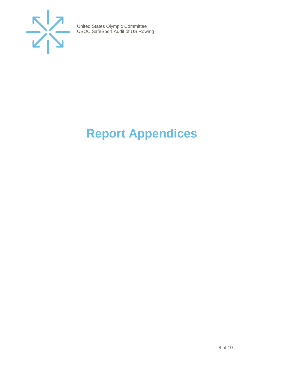

## <span id="page-7-0"></span>**Report Appendices**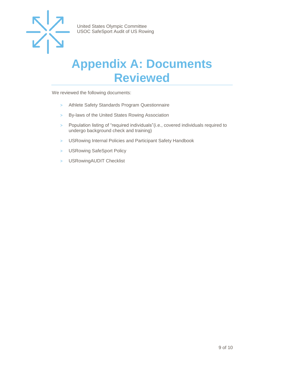

### <span id="page-8-0"></span>**Appendix A: Documents Reviewed**

We reviewed the following documents:

- > Athlete Safety Standards Program Questionnaire
- > By-laws of the United States Rowing Association
- > Population listing of "required individuals"(i.e., covered individuals required to undergo background check and training)
- > USRowing Internal Policies and Participant Safety Handbook
- > USRowing SafeSport Policy
- > USRowingAUDIT Checklist